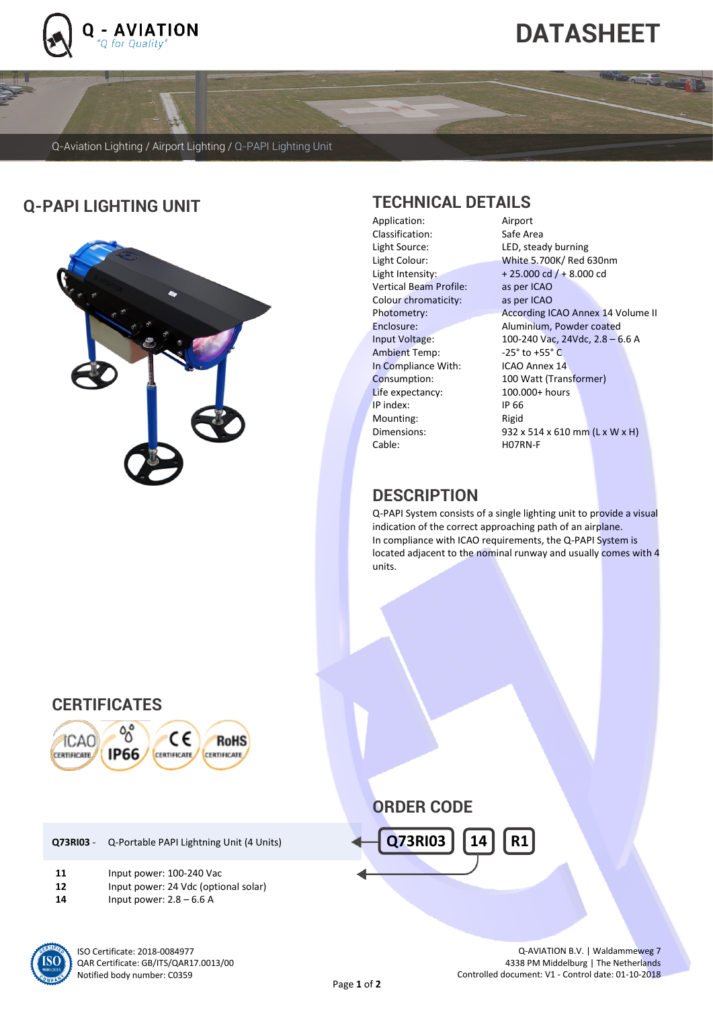

l

# **DATASHEET**

Q-Aviation Lighting / Airport Lighting / Q-PAPI Lighting Unit

## **Q-PAPI LIGHTING UNIT TECHNICAL DETAILS**



Application: Classification: Safe Area<br>
Light Source: LED, stead Light Source: LED, steady burning<br>
Light Colour: White 5.700K/Red 6 Vertical Beam Profile: as per ICAO Colour chromaticity: as per ICAO Ambient Temp: -25° to +55° C In Compliance With: ICAO Annex 14 Life expectancy: 100.000<br>
IP index: 1066 IP index: Mounting: Rigid Cable: H07RN-F

White 5.700K/ Red 630nm Light Intensity:  $+25.000 \text{ cd } / + 8.000 \text{ cd}$ Photometry: According ICAO Annex 14 Volume II Enclosure: Aluminium, Powder coated Input Voltage: 100-240 Vac, 24Vdc, 2.8 – 6.6 A Consumption: 100 Watt (Transformer)<br>
Life expectancy: 100.000+ hours Dimensions: 932 x 514 x 610 mm (L x W x H)

## **DESCRIPTION**

Q-PAPI System consists of a single lighting unit to provide a visual indication of the correct approaching path of an airplane. In compliance with ICAO requirements, the Q-PAPI System is located adjacent to the nominal runway and usually comes with 4 units.

## **CERTIFICATES**



|     | <b>Q73RI03</b> - Q-Portable PAPI Lightning Unit (4 Units) |
|-----|-----------------------------------------------------------|
| . . | $1.2.2.1$ $1.2.2.2.2.2.4$ 0.0.3.40 $1.1.2.2$              |

- **11** Input power: 100-240 Vac **12** Input power: 24 Vdc (optional solar)
- **14** Input power: 2.8 6.6 A



**ORDER CODE**



Q-AVIATION B.V. | Waldammeweg 7 4338 PM Middelburg | The Netherlands Controlled document: V1 - Control date: 01-10-2018